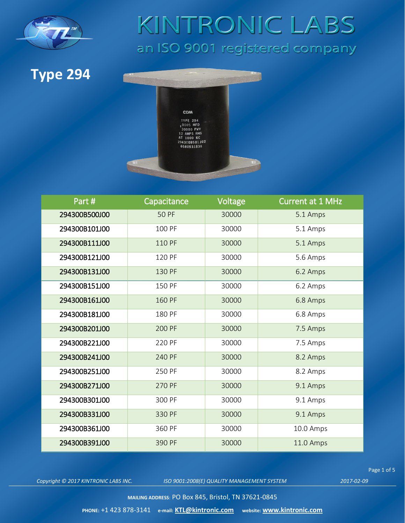

#### **Type 294**



| Part#         | Capacitance  | Voltage | <b>Current at 1 MHz</b> |
|---------------|--------------|---------|-------------------------|
| 294300B500J00 | <b>50 PF</b> | 30000   | 5.1 Amps                |
| 294300B101J00 | 100 PF       | 30000   | 5.1 Amps                |
| 294300B111J00 | 110 PF       | 30000   | 5.1 Amps                |
| 294300B121J00 | 120 PF       | 30000   | 5.6 Amps                |
| 294300B131J00 | 130 PF       | 30000   | 6.2 Amps                |
| 294300B151J00 | 150 PF       | 30000   | 6.2 Amps                |
| 294300B161J00 | 160 PF       | 30000   | 6.8 Amps                |
| 294300B181J00 | 180 PF       | 30000   | 6.8 Amps                |
| 294300B201J00 | 200 PF       | 30000   | 7.5 Amps                |
| 294300B221J00 | 220 PF       | 30000   | 7.5 Amps                |
| 294300B241J00 | 240 PF       | 30000   | 8.2 Amps                |
| 294300B251J00 | 250 PF       | 30000   | 8.2 Amps                |
| 294300B271J00 | 270 PF       | 30000   | 9.1 Amps                |
| 294300B301J00 | 300 PF       | 30000   | 9.1 Amps                |
| 294300B331J00 | 330 PF       | 30000   | 9.1 Amps                |
| 294300B361J00 | 360 PF       | 30000   | 10.0 Amps               |
| 294300B391J00 | 390 PF       | 30000   | 11.0 Amps               |

*Copyright © 2017 KINTRONIC LABS INC. ISO 9001:2008(E) QUALITY MANAGEMENT SYSTEM 2017-02-09*

Page 1 of 5

**MAILING ADDRESS**: PO Box 845, Bristol, TN 37621-0845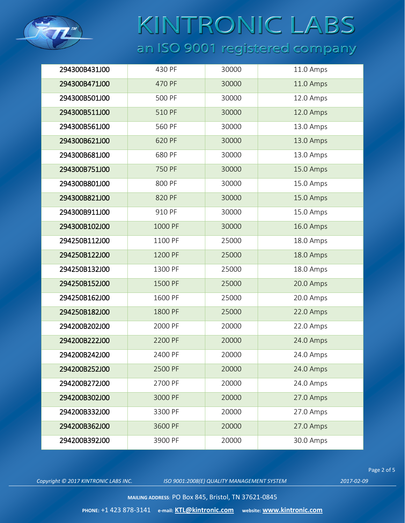

| 294300B431J00 | 430 PF  | 30000 | 11.0 Amps |
|---------------|---------|-------|-----------|
| 294300B471J00 | 470 PF  | 30000 | 11.0 Amps |
| 294300B501J00 | 500 PF  | 30000 | 12.0 Amps |
| 294300B511J00 | 510 PF  | 30000 | 12.0 Amps |
| 294300B561J00 | 560 PF  | 30000 | 13.0 Amps |
| 294300B621J00 | 620 PF  | 30000 | 13.0 Amps |
| 294300B681J00 | 680 PF  | 30000 | 13.0 Amps |
| 294300B751J00 | 750 PF  | 30000 | 15.0 Amps |
| 294300B801J00 | 800 PF  | 30000 | 15.0 Amps |
| 294300B821J00 | 820 PF  | 30000 | 15.0 Amps |
| 294300B911J00 | 910 PF  | 30000 | 15.0 Amps |
| 294300B102J00 | 1000 PF | 30000 | 16.0 Amps |
| 294250B112J00 | 1100 PF | 25000 | 18.0 Amps |
| 294250B122J00 | 1200 PF | 25000 | 18.0 Amps |
| 294250B132J00 | 1300 PF | 25000 | 18.0 Amps |
| 294250B152J00 | 1500 PF | 25000 | 20.0 Amps |
| 294250B162J00 | 1600 PF | 25000 | 20.0 Amps |
| 294250B182J00 | 1800 PF | 25000 | 22.0 Amps |
| 294200B202J00 | 2000 PF | 20000 | 22.0 Amps |
| 294200B222J00 | 2200 PF | 20000 | 24.0 Amps |
| 294200B242J00 | 2400 PF | 20000 | 24.0 Amps |
| 294200B252J00 | 2500 PF | 20000 | 24.0 Amps |
| 294200B272J00 | 2700 PF | 20000 | 24.0 Amps |
| 294200B302J00 | 3000 PF | 20000 | 27.0 Amps |
| 294200B332J00 | 3300 PF | 20000 | 27.0 Amps |
| 294200B362J00 | 3600 PF | 20000 | 27.0 Amps |
| 294200B392J00 | 3900 PF | 20000 | 30.0 Amps |

*Copyright © 2017 KINTRONIC LABS INC. ISO 9001:2008(E) QUALITY MANAGEMENT SYSTEM 2017-02-09*

Page 2 of 5

**MAILING ADDRESS**: PO Box 845, Bristol, TN 37621-0845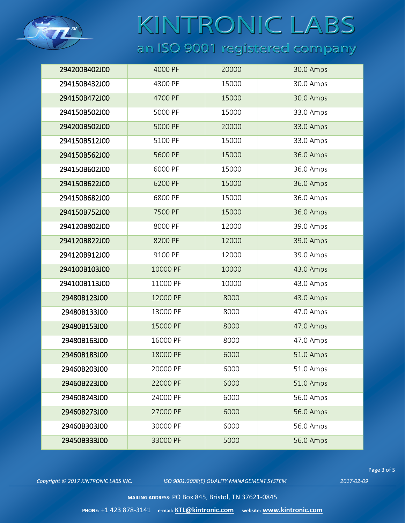

| 294200B402J00 | 4000 PF  | 20000 | 30.0 Amps |
|---------------|----------|-------|-----------|
| 294150B432J00 | 4300 PF  | 15000 | 30.0 Amps |
| 294150B472J00 | 4700 PF  | 15000 | 30.0 Amps |
| 294150B502J00 | 5000 PF  | 15000 | 33.0 Amps |
| 294200B502J00 | 5000 PF  | 20000 | 33.0 Amps |
| 294150B512J00 | 5100 PF  | 15000 | 33.0 Amps |
| 294150B562J00 | 5600 PF  | 15000 | 36.0 Amps |
| 294150B602J00 | 6000 PF  | 15000 | 36.0 Amps |
| 294150B622J00 | 6200 PF  | 15000 | 36.0 Amps |
| 294150B682J00 | 6800 PF  | 15000 | 36.0 Amps |
| 294150B752J00 | 7500 PF  | 15000 | 36.0 Amps |
| 294120B802J00 | 8000 PF  | 12000 | 39.0 Amps |
| 294120B822J00 | 8200 PF  | 12000 | 39.0 Amps |
| 294120B912J00 | 9100 PF  | 12000 | 39.0 Amps |
| 294100B103J00 | 10000 PF | 10000 | 43.0 Amps |
| 294100B113J00 | 11000 PF | 10000 | 43.0 Amps |
| 29480B123J00  | 12000 PF | 8000  | 43.0 Amps |
| 29480B133J00  | 13000 PF | 8000  | 47.0 Amps |
| 29480B153J00  | 15000 PF | 8000  | 47.0 Amps |
| 29480B163J00  | 16000 PF | 8000  | 47.0 Amps |
| 29460B183J00  | 18000 PF | 6000  | 51.0 Amps |
| 29460B203J00  | 20000 PF | 6000  | 51.0 Amps |
| 29460B223J00  | 22000 PF | 6000  | 51.0 Amps |
| 29460B243J00  | 24000 PF | 6000  | 56.0 Amps |
| 29460B273J00  | 27000 PF | 6000  | 56.0 Amps |
| 29460B303J00  | 30000 PF | 6000  | 56.0 Amps |
| 29450B333J00  | 33000 PF | 5000  | 56.0 Amps |
|               |          |       |           |

*Copyright © 2017 KINTRONIC LABS INC. ISO 9001:2008(E) QUALITY MANAGEMENT SYSTEM 2017-02-09*

Page 3 of 5

**MAILING ADDRESS**: PO Box 845, Bristol, TN 37621-0845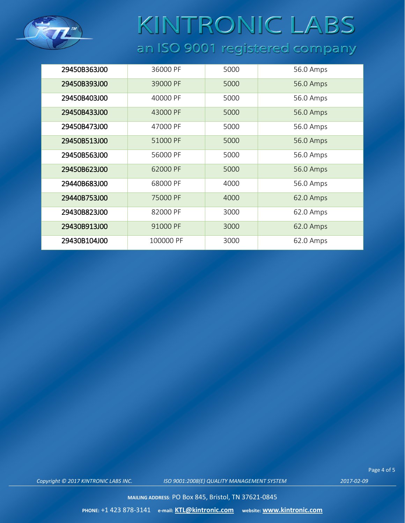

| 29450B363J00 | 36000 PF  | 5000 | 56.0 Amps |
|--------------|-----------|------|-----------|
| 29450B393J00 | 39000 PF  | 5000 | 56.0 Amps |
| 29450B403J00 | 40000 PF  | 5000 | 56.0 Amps |
| 29450B433J00 | 43000 PF  | 5000 | 56.0 Amps |
| 29450B473J00 | 47000 PF  | 5000 | 56.0 Amps |
| 29450B513J00 | 51000 PF  | 5000 | 56.0 Amps |
| 29450B563J00 | 56000 PF  | 5000 | 56.0 Amps |
| 29450B623J00 | 62000 PF  | 5000 | 56.0 Amps |
| 29440B683J00 | 68000 PF  | 4000 | 56.0 Amps |
| 29440B753J00 | 75000 PF  | 4000 | 62.0 Amps |
| 29430B823J00 | 82000 PF  | 3000 | 62.0 Amps |
| 29430B913J00 | 91000 PF  | 3000 | 62.0 Amps |
| 29430B104J00 | 100000 PF | 3000 | 62.0 Amps |

Page 4 of 5

*Copyright © 2017 KINTRONIC LABS INC. ISO 9001:2008(E) QUALITY MANAGEMENT SYSTEM 2017-02-09*

**MAILING ADDRESS**: PO Box 845, Bristol, TN 37621-0845